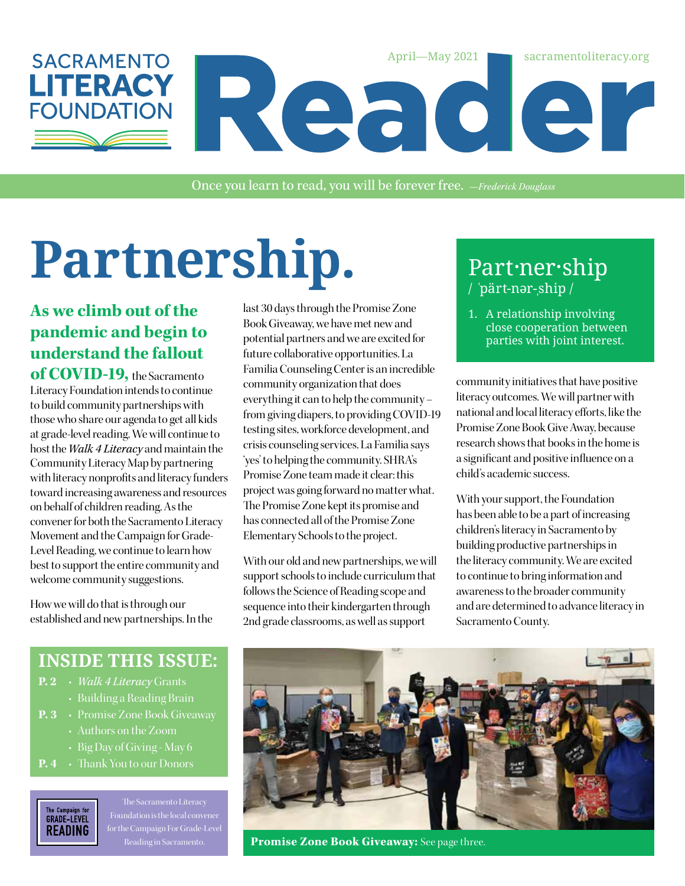

Once you learn to read, you will be forever free. *—Frederick Douglass*

# Partnership. Part-ner-ship

#### **As we climb out of the pandemic and begin to understand the fallout**

**of COVID-19,** the Sacramento Literacy Foundation intends to continue to build community partnerships with those who share our agenda to get all kids at grade-level reading. We will continue to host the *Walk 4 Literacy* and maintain the Community Literacy Map by partnering with literacy nonprofits and literacy funders toward increasing awareness and resources on behalf of children reading. As the convener for both the Sacramento Literacy Movement and the Campaign for Grade-Level Reading, we continue to learn how best to support the entire community and welcome community suggestions.

How we will do that is through our established and new partnerships. In the

last 30 days through the Promise Zone Book Giveaway, we have met new and potential partners and we are excited for future collaborative opportunities. La Familia Counseling Center is an incredible community organization that does everything it can to help the community – from giving diapers, to providing COVID-19 testing sites, workforce development, and crisis counseling services. La Familia says 'yes' to helping the community. SHRA's Promise Zone team made it clear: this project was going forward no matter what. The Promise Zone kept its promise and has connected all of the Promise Zone Elementary Schools to the project.

With our old and new partnerships, we will support schools to include curriculum that follows the Science of Reading scope and sequence into their kindergarten through 2nd grade classrooms, as well as support

## / ˈpärt-nər-ˌship /

1. A relationship involving close cooperation between parties with joint interest.

community initiatives that have positive literacy outcomes. We will partner with national and local literacy efforts, like the Promise Zone Book Give Away, because research shows that books in the home is a significant and positive influence on a child's academic success.

With your support, the Foundation has been able to be a part of increasing children's literacy in Sacramento by building productive partnerships in the literacy community. We are excited to continue to bring information and awareness to the broader community and are determined to advance literacy in Sacramento County.

#### **INSIDE THIS ISSUE:**

- **P. 2** *Walk 4 Literacy* Grants
- Building a Reading Brain
- - Authors on the Zoom
	- Big Day of Giving May 6
- **P. 4** Thank You to our Donors



The Sacramento Literacy Foundation is the local convener for the Campaign For Grade-Level



**Promise Zone Book Giveaway:** See page three.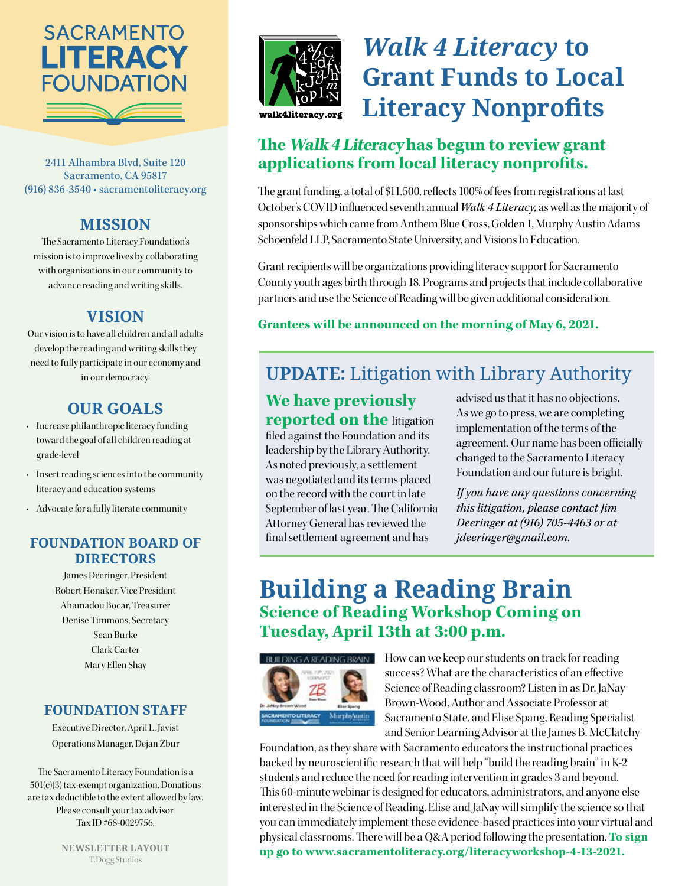

2411 Alhambra Blvd, Suite 120 Sacramento, CA 95817 (916) 836-3540 • sacramentoliteracy.org

#### **MISSION**

The Sacramento Literacy Foundation's mission is to improve lives by collaborating with organizations in our community to advance reading and writing skills.

#### **VISION**

Our vision is to have all children and all adults develop the reading and writing skills they need to fully participate in our economy and in our democracy.

#### **OUR GOALS**

- Increase philanthropic literacy funding toward the goal of all children reading at grade-level
- Insert reading sciences into the community literacy and education systems
- Advocate for a fully literate community

#### **FOUNDATION BOARD OF DIRECTORS**

James Deeringer, President Robert Honaker, Vice President Ahamadou Bocar, Treasurer Denise Timmons, Secretary Sean Burke Clark Carter Mary Ellen Shay

#### **FOUNDATION STAFF**

Executive Director, April L. Javist Operations Manager, Dejan Zbur

The Sacramento Literacy Foundation is a 501(c)(3) tax-exempt organization. Donations are tax deductible to the extent allowed by law. Please consult your tax advisor. Tax ID #68-0029756.



## *Walk 4 Literacy* **to Grant Funds to Local Literacy Nonprofits**

#### **The Walk 4 Literacy has begun to review grant applications from local literacy nonprofits.**

The grant funding, a total of \$11,500, reflects 100% of fees from registrations at last October's COVID influenced seventh annual *Walk 4 Literacy,* as well as the majority of sponsorships which came from Anthem Blue Cross, Golden 1, Murphy Austin Adams Schoenfeld LLP, Sacramento State University, and Visions In Education.

Grant recipients will be organizations providing literacy support for Sacramento County youth ages birth through 18. Programs and projects that include collaborative partners and use the Science of Reading will be given additional consideration.

#### **Grantees will be announced on the morning of May 6, 2021.**

### **UPDATE:** Litigation with Library Authority

#### **We have previously reported on the** litigation

filed against the Foundation and its leadership by the Library Authority. As noted previously, a settlement was negotiated and its terms placed on the record with the court in late September of last year. The California Attorney General has reviewed the final settlement agreement and has

advised us that it has no objections. As we go to press, we are completing implementation of the terms of the agreement. Our name has been officially changed to the Sacramento Literacy Foundation and our future is bright.

*If you have any questions concerning this litigation, please contact Jim Deeringer at (916) 705-4463 or at jdeeringer@gmail.com.*

#### **Building a Reading Brain Science of Reading Workshop Coming on Tuesday, April 13th at 3:00 p.m.**



How can we keep our students on track for reading success? What are the characteristics of an effective Science of Reading classroom? Listen in as Dr. JaNay Brown-Wood, Author and Associate Professor at Sacramento State, and Elise Spang, Reading Specialist and Senior Learning Advisor at the James B. McClatchy

Foundation, as they share with Sacramento educators the instructional practices backed by neuroscientific research that will help "build the reading brain" in K-2 students and reduce the need for reading intervention in grades 3 and beyond. This 60-minute webinar is designed for educators, administrators, and anyone else interested in the Science of Reading. Elise and JaNay will simplify the science so that you can immediately implement these evidence-based practices into your virtual and physical classrooms. There will be a Q&A period following the presentation. **To sign up go to www.sacramentoliteracy.org/literacyworkshop-4-13-2021.**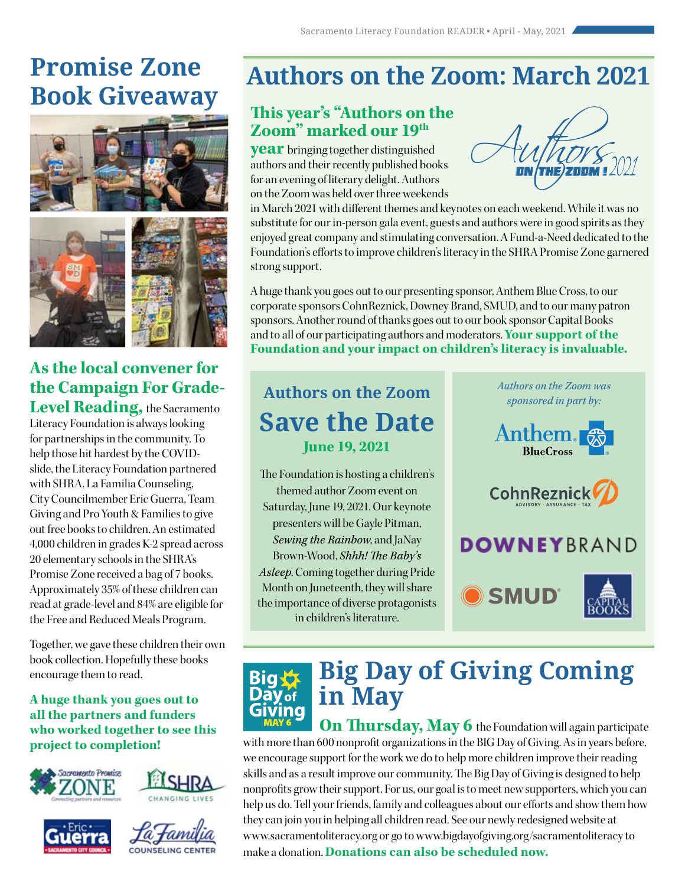## **Promise Zone Book Giveaway**



### **As the local convener for the Campaign For Grade-**

**Level Reading,** the Sacramento Literacy Foundation is always looking for partnerships in the community. To help those hit hardest by the COVIDslide, the Literacy Foundation partnered with SHRA, La Familia Counseling, City Councilmember Eric Guerra, Team Giving and Pro Youth & Families to give out free books to children. An estimated 4,000 children in grades K-2 spread across 20 elementary schools in the SHRA's Promise Zone received a bag of 7 books. Approximately 35% of these children can read at grade-level and 84% are eligible for the Free and Reduced Meals Program.

Together, we gave these children their own book collection. Hopefully these books encourage them to read.

#### **A huge thank you goes out to all the partners and funders who worked together to see this project to completion!**









## **Authors on the Zoom: March 2021**

#### **This year's "Authors on the Zoom" marked our 19th**

**year** bringing together distinguished authors and their recently published books for an evening of literary delight. Authors on the Zoom was held over three weekends



in March 2021 with different themes and keynotes on each weekend. While it was no substitute for our in-person gala event, guests and authors were in good spirits as they enjoyed great company and stimulating conversation. A Fund-a-Need dedicated to the Foundation's efforts to improve children's literacy in the SHRA Promise Zone garnered strong support.

A huge thank you goes out to our presenting sponsor, Anthem Blue Cross, to our corporate sponsors CohnReznick, Downey Brand, SMUD, and to our many patron sponsors. Another round of thanks goes out to our book sponsor Capital Books and to all of our participating authors and moderators. **Your support of the Foundation and your impact on children's literacy is invaluable.**

### **Authors on the Zoom Save the Date June 19, 2021**

The Foundation is hosting a children's themed author Zoom event on Saturday, June 19, 2021. Our keynote presenters will be Gayle Pitman, *Sewing the Rainbow*, and JaNay Brown-Wood, *Shhh! The Baby's Asleep*. Coming together during Pride Month on Juneteenth, they will share the importance of diverse protagonists in children's literature.



## **Big Day of Giving Coming in May**

**On Thursday, May 6** the Foundation will again participate with more than 600 nonprofit organizations in the BIG Day of Giving. As in years before, we encourage support for the work we do to help more children improve their reading skills and as a result improve our community. The Big Day of Giving is designed to help nonprofits grow their support. For us, our goal is to meet new supporters, which you can help us do. Tell your friends, family and colleagues about our efforts and show them how they can join you in helping all children read. See our newly redesigned website at www.sacramentoliteracy.org or go to www.bigdayofgiving.org/sacramentoliteracy to make a donation. **Donations can also be scheduled now.**